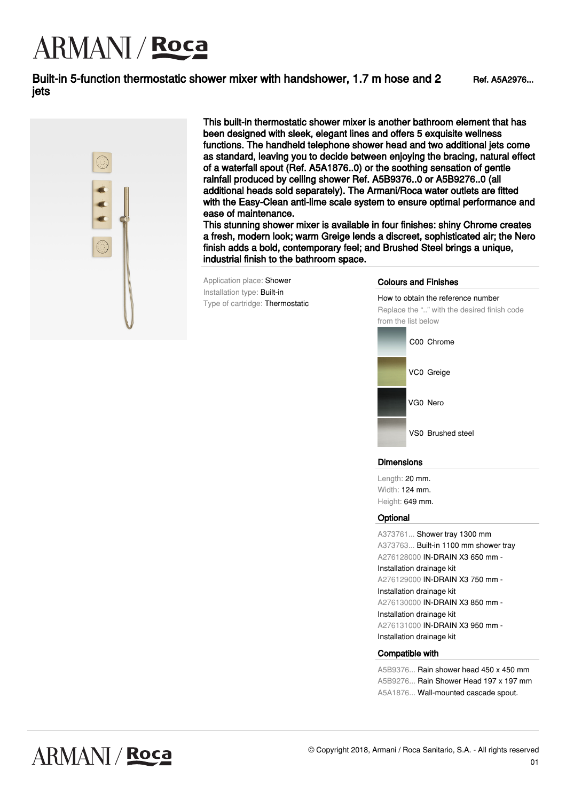# **ARMANI** / **Roca**

### Built-in 5-function thermostatic shower mixer with handshower, 1.7 m hose and 2 jets



This built-in thermostatic shower mixer is another bathroom element that has been designed with sleek, elegant lines and offers 5 exquisite wellness functions. The handheld telephone shower head and two additional jets come as standard, leaving you to decide between enjoying the bracing, natural effect of a waterfall spout (Ref. A5A1876..0) or the soothing sensation of gentle rainfall produced by ceiling shower Ref. A5B9376..0 or A5B9276..0 (all additional heads sold separately). The Armani/Roca water outlets are fitted with the Easy-Clean anti-lime scale system to ensure optimal performance and ease of maintenance.

This stunning shower mixer is available in four finishes: shiny Chrome creates a fresh, modern look; warm Greige lends a discreet, sophisticated air; the Nero finish adds a bold, contemporary feel; and Brushed Steel brings a unique, industrial finish to the bathroom space.

Application place: Shower Installation type: Built-in Type of cartridge: Thermostatic

#### Colours and Finishes

How to obtain the reference number Replace the ".." with the desired finish code from the list below



### Dimensions

Length: 20 mm. Width: 124 mm. Height: 649 mm.

### **Optional**

A373761... Shower tray 1300 mm A373763... Built-in 1100 mm shower tray A276128000 IN-DRAIN X3 650 mm - Installation drainage kit A276129000 IN-DRAIN X3 750 mm - Installation drainage kit A276130000 IN-DRAIN X3 850 mm - Installation drainage kit A276131000 IN-DRAIN X3 950 mm - Installation drainage kit

#### Compatible with

A5B9376... Rain shower head 450 x 450 mm A5B9276... Rain Shower Head 197 x 197 mm A5A1876... Wall-mounted cascade spout.

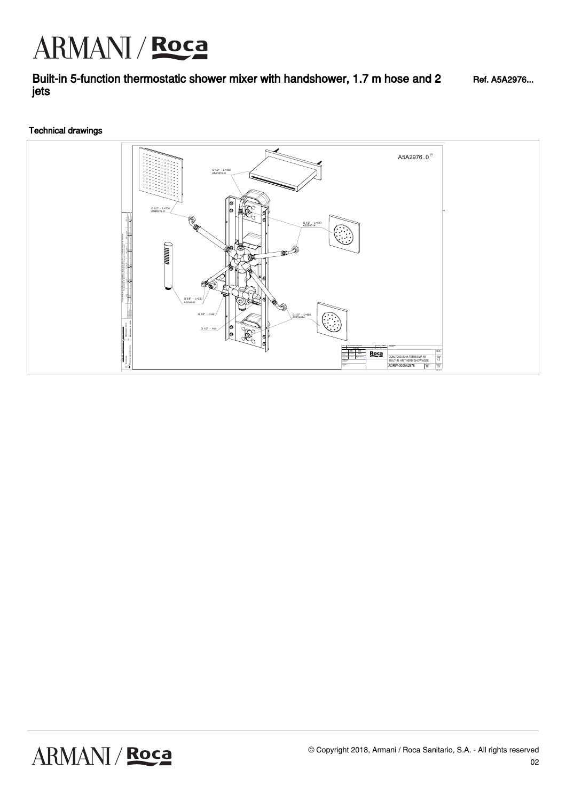## ARMANI / Roca

Built-in 5-function thermostatic shower mixer with handshower, 1.7 m hose and 2 jets Ref. A5A2976...

### Technical drawings